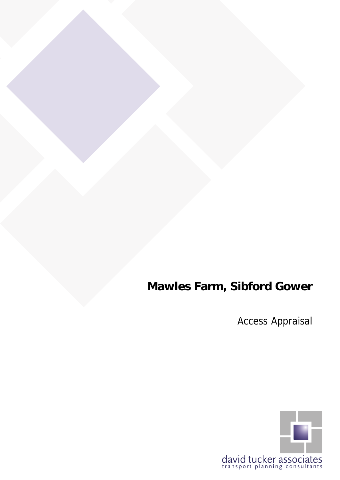# **Mawles Farm, Sibford Gower**

Access Appraisal

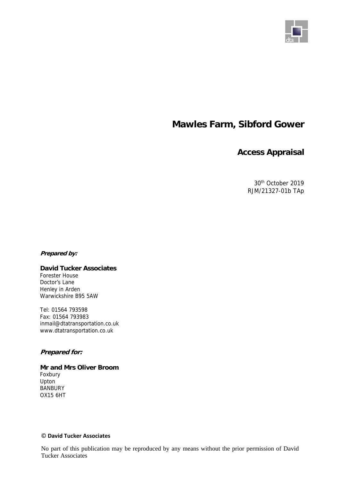

## **Mawles Farm, Sibford Gower**

### **Access Appraisal**

30th October 2019 RJM/21327-01b TAp

#### **Prepared by:**

#### **David Tucker Associates**  Forester House

Doctor's Lane Henley in Arden Warwickshire B95 5AW

Tel: 01564 793598 Fax: 01564 793983 inmail@dtatransportation.co.uk www.dtatransportation.co.uk

#### **Prepared for:**

**Mr and Mrs Oliver Broom**  Foxbury Upton **BANBURY** OX15 6HT

#### © **David Tucker Associates**

No part of this publication may be reproduced by any means without the prior permission of David Tucker Associates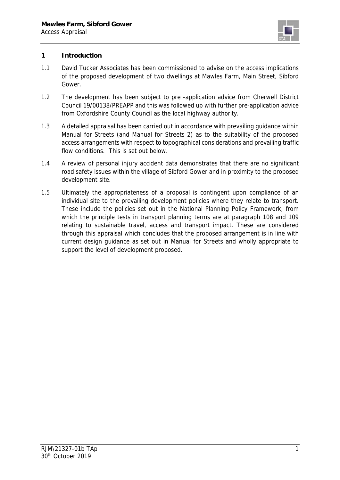

#### **1 Introduction**

- 1.1 David Tucker Associates has been commissioned to advise on the access implications of the proposed development of two dwellings at Mawles Farm, Main Street, Sibford Gower.
- 1.2 The development has been subject to pre -application advice from Cherwell District Council 19/00138/PREAPP and this was followed up with further pre-application advice from Oxfordshire County Council as the local highway authority.
- 1.3 A detailed appraisal has been carried out in accordance with prevailing guidance within Manual for Streets (and Manual for Streets 2) as to the suitability of the proposed access arrangements with respect to topographical considerations and prevailing traffic flow conditions. This is set out below.
- 1.4 A review of personal injury accident data demonstrates that there are no significant road safety issues within the village of Sibford Gower and in proximity to the proposed development site.
- 1.5 Ultimately the appropriateness of a proposal is contingent upon compliance of an individual site to the prevailing development policies where they relate to transport. These include the policies set out in the National Planning Policy Framework, from which the principle tests in transport planning terms are at paragraph 108 and 109 relating to sustainable travel, access and transport impact. These are considered through this appraisal which concludes that the proposed arrangement is in line with current design guidance as set out in Manual for Streets and wholly appropriate to support the level of development proposed.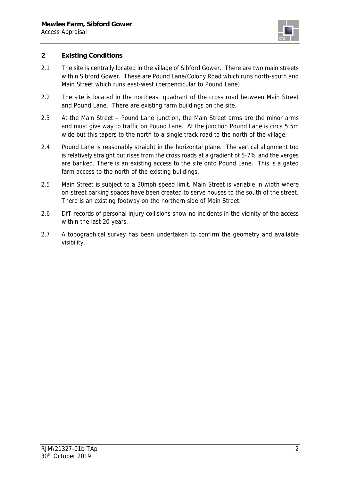

#### **2 Existing Conditions**

- 2.1 The site is centrally located in the village of Sibford Gower. There are two main streets within Sibford Gower. These are Pound Lane/Colony Road which runs north-south and Main Street which runs east-west (perpendicular to Pound Lane).
- 2.2 The site is located in the northeast quadrant of the cross road between Main Street and Pound Lane. There are existing farm buildings on the site.
- 2.3 At the Main Street Pound Lane junction, the Main Street arms are the minor arms and must give way to traffic on Pound Lane. At the junction Pound Lane is circa 5.5m wide but this tapers to the north to a single track road to the north of the village.
- 2.4 Pound Lane is reasonably straight in the horizontal plane. The vertical alignment too is relatively straight but rises from the cross roads at a gradient of 5-7% and the verges are banked. There is an existing access to the site onto Pound Lane. This is a gated farm access to the north of the existing buildings.
- 2.5 Main Street is subject to a 30mph speed limit. Main Street is variable in width where on-street parking spaces have been created to serve houses to the south of the street. There is an existing footway on the northern side of Main Street.
- 2.6 DfT records of personal injury collisions show no incidents in the vicinity of the access within the last 20 years.
- 2.7 A topographical survey has been undertaken to confirm the geometry and available visibility.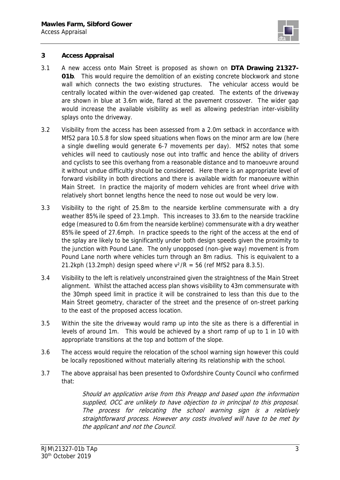

#### **3 Access Appraisal**

- 3.1 A new access onto Main Street is proposed as shown on **DTA Drawing 21327- 01b**. This would require the demolition of an existing concrete blockwork and stone wall which connects the two existing structures. The vehicular access would be centrally located within the over-widened gap created. The extents of the driveway are shown in blue at 3.6m wide, flared at the pavement crossover. The wider gap would increase the available visibility as well as allowing pedestrian inter-visibility splays onto the driveway.
- 3.2 Visibility from the access has been assessed from a 2.0m setback in accordance with MfS2 para 10.5.8 for slow speed situations when flows on the minor arm are low (here a single dwelling would generate 6-7 movements per day). MfS2 notes that some vehicles will need to cautiously nose out into traffic and hence the ability of drivers and cyclists to see this overhang from a reasonable distance and to manoeuvre around it without undue difficultly should be considered. Here there is an appropriate level of forward visibility in both directions and there is available width for manoeuvre within Main Street. In practice the majority of modern vehicles are front wheel drive with relatively short bonnet lengths hence the need to nose out would be very low.
- 3.3 Visibility to the right of 25.8m to the nearside kerbline commensurate with a dry weather 85%ile speed of 23.1mph. This increases to 33.6m to the nearside trackline edge (measured to 0.6m from the nearside kerbline) commensurate with a dry weather 85%ile speed of 27.6mph. In practice speeds to the right of the access at the end of the splay are likely to be significantly under both design speeds given the proximity to the junction with Pound Lane. The only unopposed (non-give way) movement is from Pound Lane north where vehicles turn through an 8m radius. This is equivalent to a 21.2kph (13.2mph) design speed where  $v^2/R = 56$  (ref MfS2 para 8.3.5).
- 3.4 Visibility to the left is relatively unconstrained given the straightness of the Main Street alignment. Whilst the attached access plan shows visibility to 43m commensurate with the 30mph speed limit in practice it will be constrained to less than this due to the Main Street geometry, character of the street and the presence of on-street parking to the east of the proposed access location.
- 3.5 Within the site the driveway would ramp up into the site as there is a differential in levels of around 1m. This would be achieved by a short ramp of up to 1 in 10 with appropriate transitions at the top and bottom of the slope.
- 3.6 The access would require the relocation of the school warning sign however this could be locally repositioned without materially altering its relationship with the school.
- 3.7 The above appraisal has been presented to Oxfordshire County Council who confirmed that:

Should an application arise from this Preapp and based upon the information supplied, OCC are unlikely to have objection to in principal to this proposal. The process for relocating the school warning sign is a relatively straightforward process. However any costs involved will have to be met by the applicant and not the Council.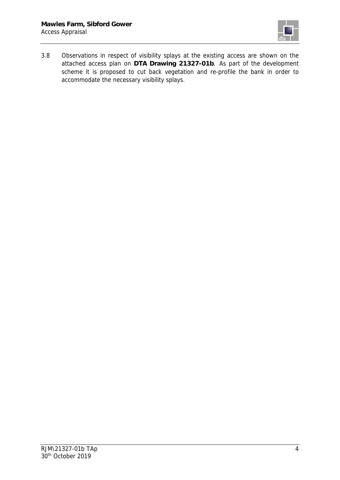

3.8 Observations in respect of visibility splays at the existing access are shown on the attached access plan on **DTA Drawing 21327-01b**. As part of the development scheme it is proposed to cut back vegetation and re-profile the bank in order to accommodate the necessary visibility splays.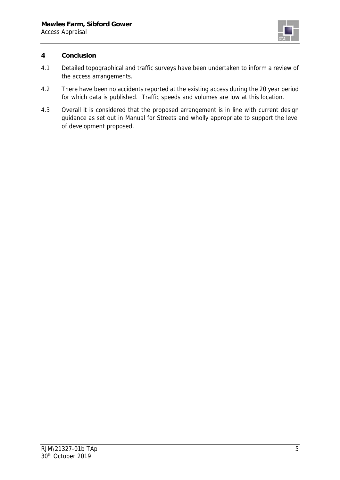

#### **4 Conclusion**

- 4.1 Detailed topographical and traffic surveys have been undertaken to inform a review of the access arrangements.
- 4.2 There have been no accidents reported at the existing access during the 20 year period for which data is published. Traffic speeds and volumes are low at this location.
- 4.3 Overall it is considered that the proposed arrangement is in line with current design guidance as set out in Manual for Streets and wholly appropriate to support the level of development proposed.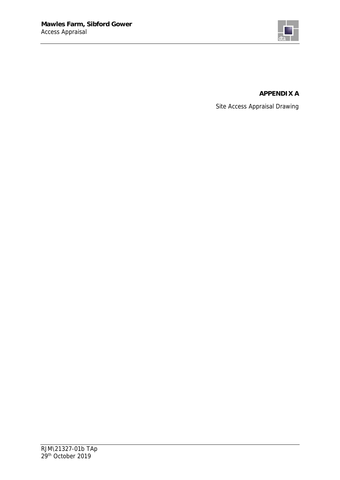

#### **APPENDIX A**

Site Access Appraisal Drawing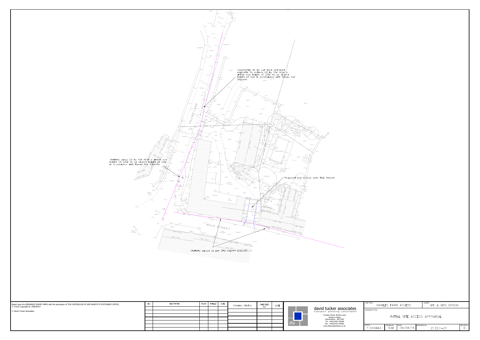

| <b>JOB TITLE</b>                                      |                        | MAWLES FARM ACCESS |                   | CLIENT<br>MR & MRS BROOM |                      |
|-------------------------------------------------------|------------------------|--------------------|-------------------|--------------------------|----------------------|
| <b>DRAWING TITLE</b><br>INITIAL SITE ACCESS APPRAISAL |                        |                    |                   |                          |                      |
| <b>SCALE</b><br>1:500@A3                              | DRAWN BY<br><b>RJM</b> | DATE<br>09/08/19   | <b>DRAWING No</b> | $21327 - 01$             | <b>REVISION</b><br>В |

dta

| Henley-in-Arden             |
|-----------------------------|
| Warwickshire B95 5AW        |
| Tel: +44(0)1564 793598      |
| Fax: +44(0)1564 793983      |
| www.dtatransportation.co.uk |